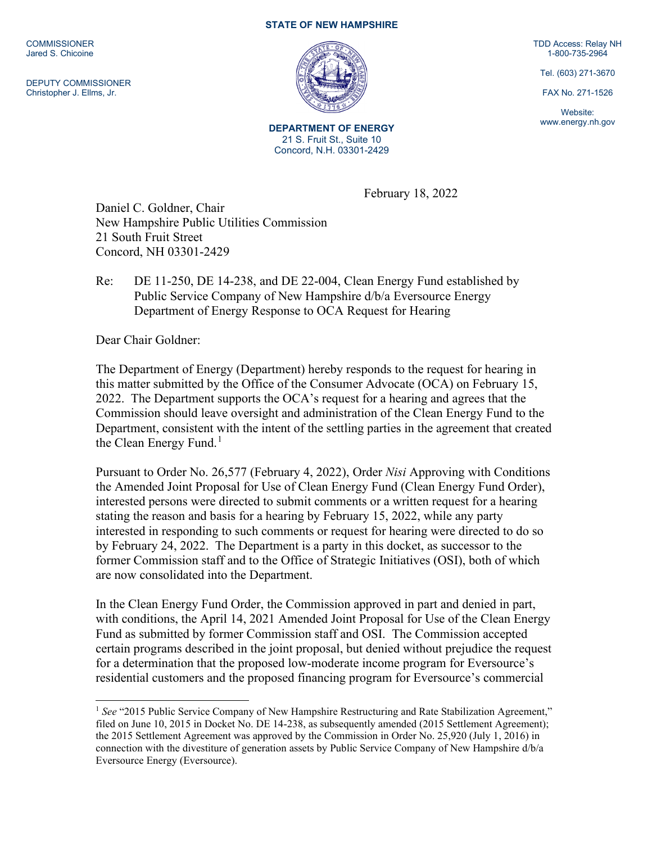**COMMISSIONER** Jared S. Chicoine

DEPUTY COMMISSIONER Christopher J. Ellms, Jr.

## **STATE OF NEW HAMPSHIRE**



**DEPARTMENT OF ENERGY** 21 S. Fruit St., Suite 10 Concord, N.H. 03301-2429

February 18, 2022

Daniel C. Goldner, Chair New Hampshire Public Utilities Commission 21 South Fruit Street Concord, NH 03301-2429

Re: DE 11-250, DE 14-238, and DE 22-004, Clean Energy Fund established by Public Service Company of New Hampshire d/b/a Eversource Energy Department of Energy Response to OCA Request for Hearing

Dear Chair Goldner:

The Department of Energy (Department) hereby responds to the request for hearing in this matter submitted by the Office of the Consumer Advocate (OCA) on February 15, 2022. The Department supports the OCA's request for a hearing and agrees that the Commission should leave oversight and administration of the Clean Energy Fund to the Department, consistent with the intent of the settling parties in the agreement that created the Clean Energy Fund.<sup>[1](#page-0-0)</sup>

Pursuant to Order No. 26,577 (February 4, 2022), Order *Nisi* Approving with Conditions the Amended Joint Proposal for Use of Clean Energy Fund (Clean Energy Fund Order), interested persons were directed to submit comments or a written request for a hearing stating the reason and basis for a hearing by February 15, 2022, while any party interested in responding to such comments or request for hearing were directed to do so by February 24, 2022. The Department is a party in this docket, as successor to the former Commission staff and to the Office of Strategic Initiatives (OSI), both of which are now consolidated into the Department.

In the Clean Energy Fund Order, the Commission approved in part and denied in part, with conditions, the April 14, 2021 Amended Joint Proposal for Use of the Clean Energy Fund as submitted by former Commission staff and OSI. The Commission accepted certain programs described in the joint proposal, but denied without prejudice the request for a determination that the proposed low-moderate income program for Eversource's residential customers and the proposed financing program for Eversource's commercial

TDD Access: Relay NH 1-800-735-2964

Tel. (603) 271-3670

FAX No. 271-1526

Website: www.energy.nh.gov

<span id="page-0-0"></span><sup>&</sup>lt;sup>1</sup> See "2015 Public Service Company of New Hampshire Restructuring and Rate Stabilization Agreement," filed on June 10, 2015 in Docket No. DE 14-238, as subsequently amended (2015 Settlement Agreement); the 2015 Settlement Agreement was approved by the Commission in Order No. 25,920 (July 1, 2016) in connection with the divestiture of generation assets by Public Service Company of New Hampshire d/b/a Eversource Energy (Eversource).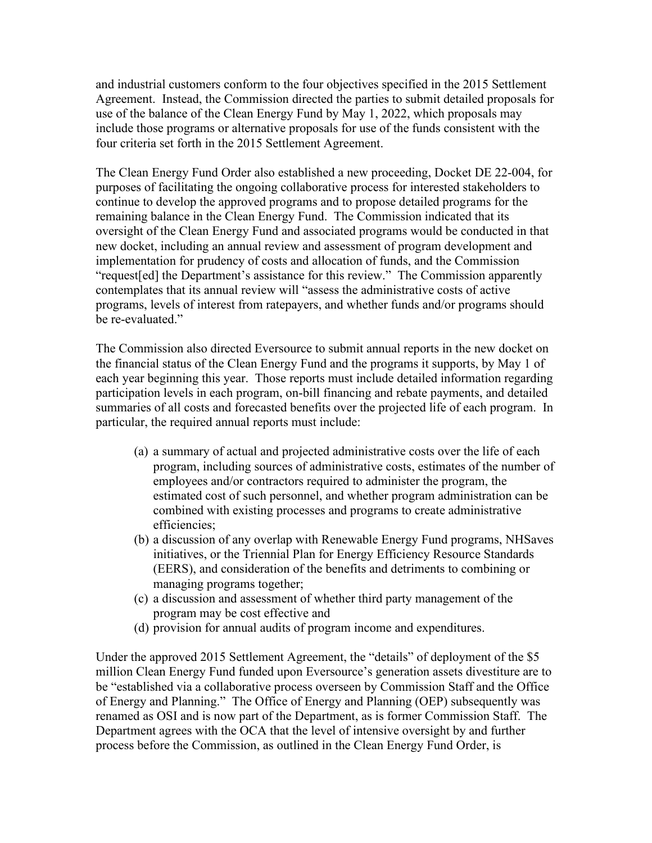and industrial customers conform to the four objectives specified in the 2015 Settlement Agreement. Instead, the Commission directed the parties to submit detailed proposals for use of the balance of the Clean Energy Fund by May 1, 2022, which proposals may include those programs or alternative proposals for use of the funds consistent with the four criteria set forth in the 2015 Settlement Agreement.

The Clean Energy Fund Order also established a new proceeding, Docket DE 22-004, for purposes of facilitating the ongoing collaborative process for interested stakeholders to continue to develop the approved programs and to propose detailed programs for the remaining balance in the Clean Energy Fund. The Commission indicated that its oversight of the Clean Energy Fund and associated programs would be conducted in that new docket, including an annual review and assessment of program development and implementation for prudency of costs and allocation of funds, and the Commission "request[ed] the Department's assistance for this review." The Commission apparently contemplates that its annual review will "assess the administrative costs of active programs, levels of interest from ratepayers, and whether funds and/or programs should be re-evaluated."

The Commission also directed Eversource to submit annual reports in the new docket on the financial status of the Clean Energy Fund and the programs it supports, by May 1 of each year beginning this year. Those reports must include detailed information regarding participation levels in each program, on-bill financing and rebate payments, and detailed summaries of all costs and forecasted benefits over the projected life of each program. In particular, the required annual reports must include:

- (a) a summary of actual and projected administrative costs over the life of each program, including sources of administrative costs, estimates of the number of employees and/or contractors required to administer the program, the estimated cost of such personnel, and whether program administration can be combined with existing processes and programs to create administrative efficiencies;
- (b) a discussion of any overlap with Renewable Energy Fund programs, NHSaves initiatives, or the Triennial Plan for Energy Efficiency Resource Standards (EERS), and consideration of the benefits and detriments to combining or managing programs together;
- (c) a discussion and assessment of whether third party management of the program may be cost effective and
- (d) provision for annual audits of program income and expenditures.

Under the approved 2015 Settlement Agreement, the "details" of deployment of the \$5 million Clean Energy Fund funded upon Eversource's generation assets divestiture are to be "established via a collaborative process overseen by Commission Staff and the Office of Energy and Planning." The Office of Energy and Planning (OEP) subsequently was renamed as OSI and is now part of the Department, as is former Commission Staff. The Department agrees with the OCA that the level of intensive oversight by and further process before the Commission, as outlined in the Clean Energy Fund Order, is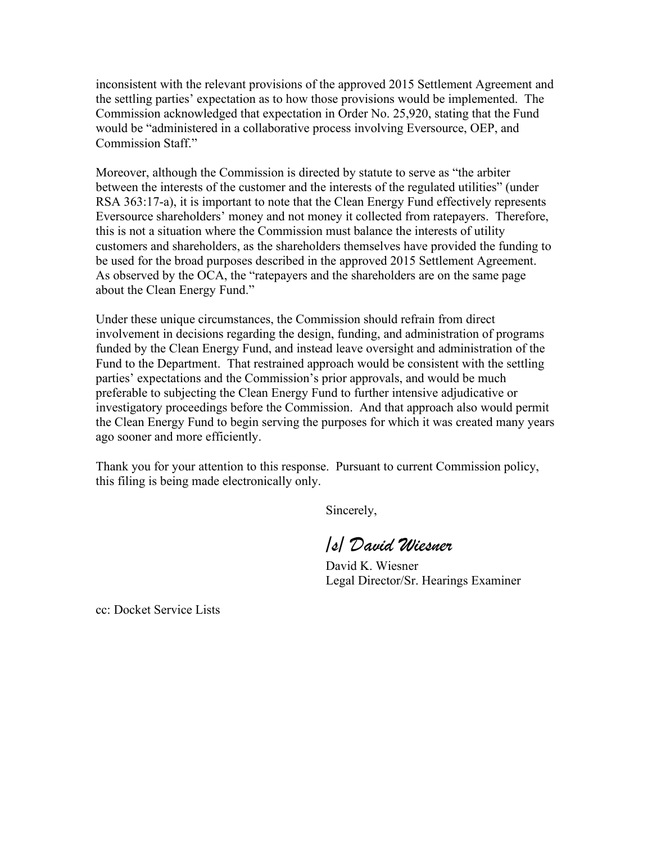inconsistent with the relevant provisions of the approved 2015 Settlement Agreement and the settling parties' expectation as to how those provisions would be implemented. The Commission acknowledged that expectation in Order No. 25,920, stating that the Fund would be "administered in a collaborative process involving Eversource, OEP, and Commission Staff."

Moreover, although the Commission is directed by statute to serve as "the arbiter between the interests of the customer and the interests of the regulated utilities" (under RSA 363:17-a), it is important to note that the Clean Energy Fund effectively represents Eversource shareholders' money and not money it collected from ratepayers. Therefore, this is not a situation where the Commission must balance the interests of utility customers and shareholders, as the shareholders themselves have provided the funding to be used for the broad purposes described in the approved 2015 Settlement Agreement. As observed by the OCA, the "ratepayers and the shareholders are on the same page about the Clean Energy Fund."

Under these unique circumstances, the Commission should refrain from direct involvement in decisions regarding the design, funding, and administration of programs funded by the Clean Energy Fund, and instead leave oversight and administration of the Fund to the Department. That restrained approach would be consistent with the settling parties' expectations and the Commission's prior approvals, and would be much preferable to subjecting the Clean Energy Fund to further intensive adjudicative or investigatory proceedings before the Commission. And that approach also would permit the Clean Energy Fund to begin serving the purposes for which it was created many years ago sooner and more efficiently.

Thank you for your attention to this response. Pursuant to current Commission policy, this filing is being made electronically only.

Sincerely,

*/s/ David Wiesner*

David K. Wiesner Legal Director/Sr. Hearings Examiner

cc: Docket Service Lists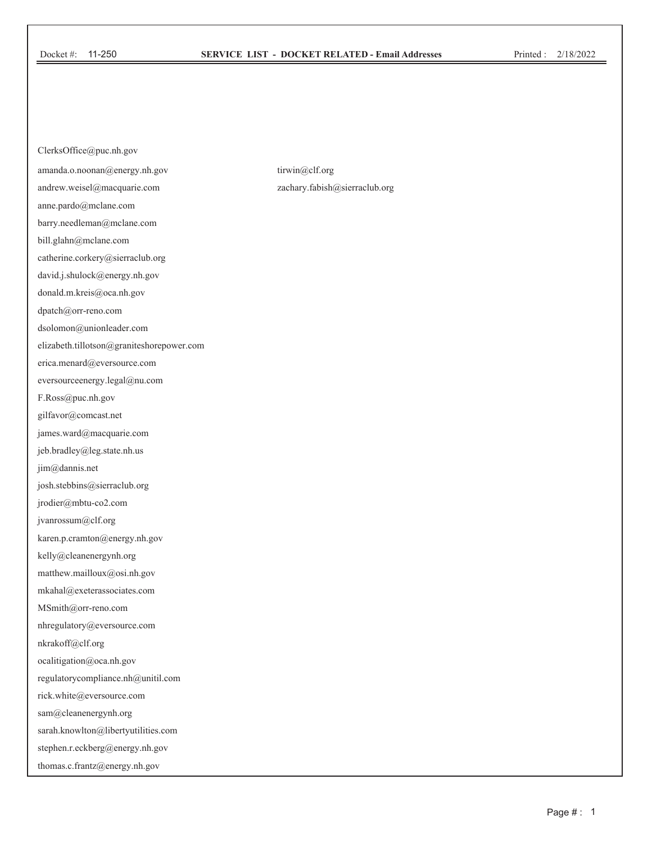## **SERVICE LIST - DOCKET RELATED - Email Addresses**

ClerksOffice@puc.nh.gov amanda.o.noonan@energy.nh.gov andrew.weisel@macquarie.com anne.pardo@mclane.com barry.needleman@mclane.com bill.glahn@mclane.com catherine.corkery@sierraclub.org david.j.shulock@energy.nh.gov donald.m.kreis@oca.nh.gov dpatch@orr-reno.com dsolomon@unionleader.com elizabeth.tillotson@graniteshorepower.com erica.menard@eversource.com eversourceenergy.legal@nu.com F.Ross@puc.nh.gov gilfavor@comcast.net james.ward@macquarie.com jeb.bradley@leg.state.nh.us jim@dannis.net josh.stebbins@sierraclub.org jrodier@mbtu-co2.com jvanrossum@clf.org karen.p.cramton@energy.nh.gov kelly@cleanenergynh.org matthew.mailloux@osi.nh.gov  $\operatorname{mkahal@exeteras} \operatorname{socides}.\n\operatorname{com}$ MSmith@orr-reno.com nhregulatory@eversource.com nkrakoff@clf.org ocalitigation@oca.nh.gov regulatorycompliance.nh@unitil.com rick.white@eversource.com sam@cleanenergynh.org sarah.knowlton@libertyutilities.com stephen.r.eckberg@energy.nh.gov thomas.c.frantz@energy.nh.gov

tirwin@clf.org zachary.fabish@sierraclub.org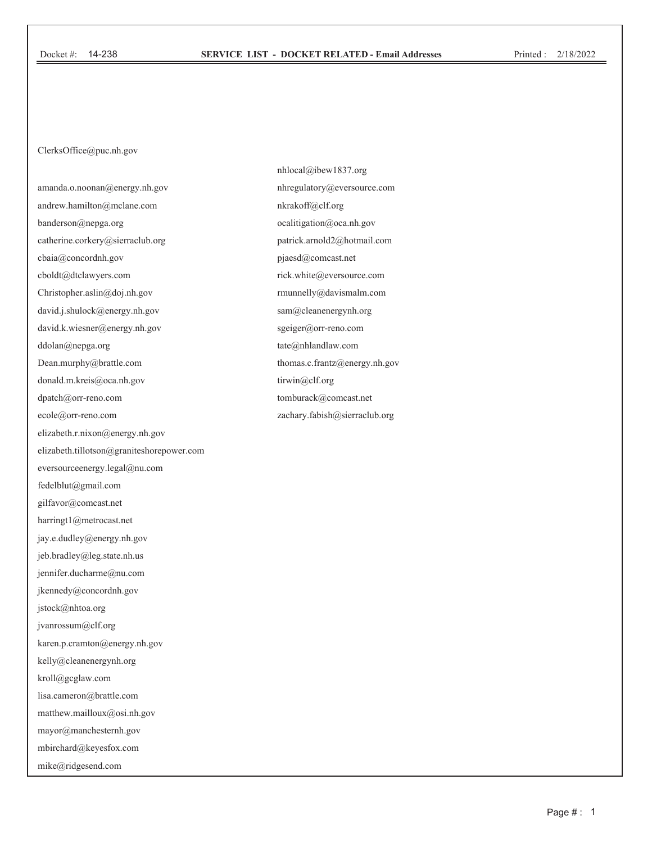ClerksOffice@puc.nh.gov

amanda.o.noonan@energy.nh.gov andrew.hamilton@mclane.com banderson@nepga.org catherine.corkery@sierraclub.org cbaia@concordnh.gov cboldt@dtclawyers.com Christopher.aslin@doj.nh.gov david.j.shulock@energy.nh.gov david.k.wiesner@energy.nh.gov ddolan@nepga.org Dean.murphy@brattle.com donald.m.kreis@oca.nh.gov dpatch@orr-reno.com ecole@orr-reno.com elizabeth.r.nixon@energy.nh.gov elizabeth.tillotson@graniteshorepower.com eversourceenergy.legal@nu.com fedelblut@gmail.com gilfavor@comcast.net harringt1@metrocast.net jay.e.dudley@energy.nh.gov jeb.bradley@leg.state.nh.us jennifer.ducharme@nu.com jkennedy@concordnh.gov jstock@nhtoa.org jvanrossum@clf.org karen.p.cramton@energy.nh.gov kelly@cleanenergynh.org kroll@gcglaw.com lisa.cameron@brattle.com matthew.mailloux@osi.nh.gov mayor@manchesternh.gov mbirchard@keyesfox.com

mike@ridgesend.com

nhlocal@ibew1837.org nhregulatory@eversource.com nkrakoff@clf.org ocalitigation@oca.nh.gov patrick.arnold2@hotmail.com pjaesd@comcast.net rick.white@eversource.com rmunnelly@davismalm.com sam@cleanenergynh.org sgeiger@orr-reno.com tate@nhlandlaw.com thomas.c.frantz@energy.nh.gov tirwin@clf.org tomburack@comcast.net zachary.fabish@sierraclub.org